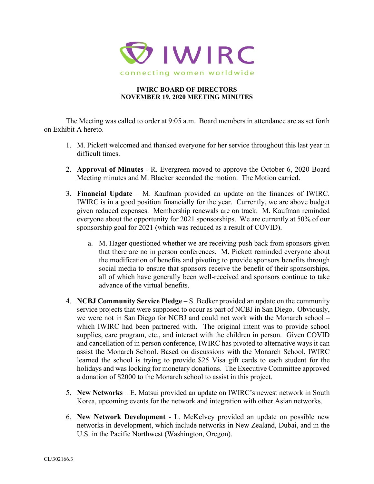

## **IWIRC BOARD OF DIRECTORS NOVEMBER 19, 2020 MEETING MINUTES**

The Meeting was called to order at 9:05 a.m. Board members in attendance are as set forth on Exhibit A hereto.

- 1. M. Pickett welcomed and thanked everyone for her service throughout this last year in difficult times.
- 2. **Approval of Minutes** R. Evergreen moved to approve the October 6, 2020 Board Meeting minutes and M. Blacker seconded the motion. The Motion carried.
- 3. **Financial Update** M. Kaufman provided an update on the finances of IWIRC. IWIRC is in a good position financially for the year. Currently, we are above budget given reduced expenses. Membership renewals are on track. M. Kaufman reminded everyone about the opportunity for 2021 sponsorships. We are currently at 50% of our sponsorship goal for 2021 (which was reduced as a result of COVID).
	- a. M. Hager questioned whether we are receiving push back from sponsors given that there are no in person conferences. M. Pickett reminded everyone about the modification of benefits and pivoting to provide sponsors benefits through social media to ensure that sponsors receive the benefit of their sponsorships, all of which have generally been well-received and sponsors continue to take advance of the virtual benefits.
- 4. **NCBJ Community Service Pledge** S. Bedker provided an update on the community service projects that were supposed to occur as part of NCBJ in San Diego. Obviously, we were not in San Diego for NCBJ and could not work with the Monarch school – which IWIRC had been partnered with. The original intent was to provide school supplies, care program, etc., and interact with the children in person. Given COVID and cancellation of in person conference, IWIRC has pivoted to alternative ways it can assist the Monarch School. Based on discussions with the Monarch School, IWIRC learned the school is trying to provide \$25 Visa gift cards to each student for the holidays and was looking for monetary donations. The Executive Committee approved a donation of \$2000 to the Monarch school to assist in this project.
- 5. **New Networks** E. Matsui provided an update on IWIRC's newest network in South Korea, upcoming events for the network and integration with other Asian networks.
- 6. **New Network Development** L. McKelvey provided an update on possible new networks in development, which include networks in New Zealand, Dubai, and in the U.S. in the Pacific Northwest (Washington, Oregon).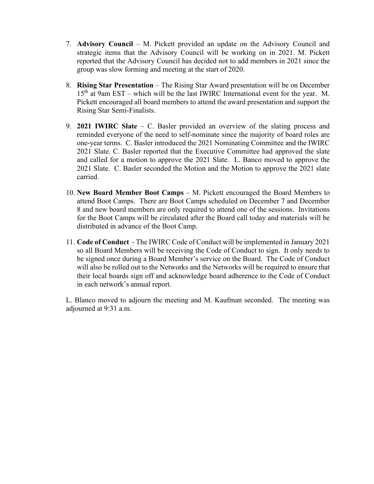- 7. **Advisory Council** M. Pickett provided an update on the Advisory Council and strategic items that the Advisory Council will be working on in 2021. M. Pickett reported that the Advisory Council has decided not to add members in 2021 since the group was slow forming and meeting at the start of 2020.
- 8. **Rising Star Presentation** The Rising Star Award presentation will be on December  $15<sup>th</sup>$  at 9am EST – which will be the last IWIRC International event for the year. M. Pickett encouraged all board members to attend the award presentation and support the Rising Star Semi-Finalists.
- 9. **2021 IWIRC Slate** C. Basler provided an overview of the slating process and reminded everyone of the need to self-nominate since the majority of board roles are one-year terms. C. Basler introduced the 2021 Nominating Committee and the IWIRC 2021 Slate. C. Basler reported that the Executive Committee had approved the slate and called for a motion to approve the 2021 Slate. L. Banco moved to approve the 2021 Slate. C. Basler seconded the Motion and the Motion to approve the 2021 slate carried.
- 10. **New Board Member Boot Camps** M. Pickett encouraged the Board Members to attend Boot Camps. There are Boot Camps scheduled on December 7 and December 8 and new board members are only required to attend one of the sessions. Invitations for the Boot Camps will be circulated after the Board call today and materials will be distributed in advance of the Boot Camp.
- 11. **Code of Conduct**  The IWIRC Code of Conduct will be implemented in January 2021 so all Board Members will be receiving the Code of Conduct to sign. It only needs to be signed once during a Board Member's service on the Board. The Code of Conduct will also be rolled out to the Networks and the Networks will be required to ensure that their local boards sign off and acknowledge board adherence to the Code of Conduct in each network's annual report.

L. Blanco moved to adjourn the meeting and M. Kaufman seconded. The meeting was adjourned at 9:31 a.m.